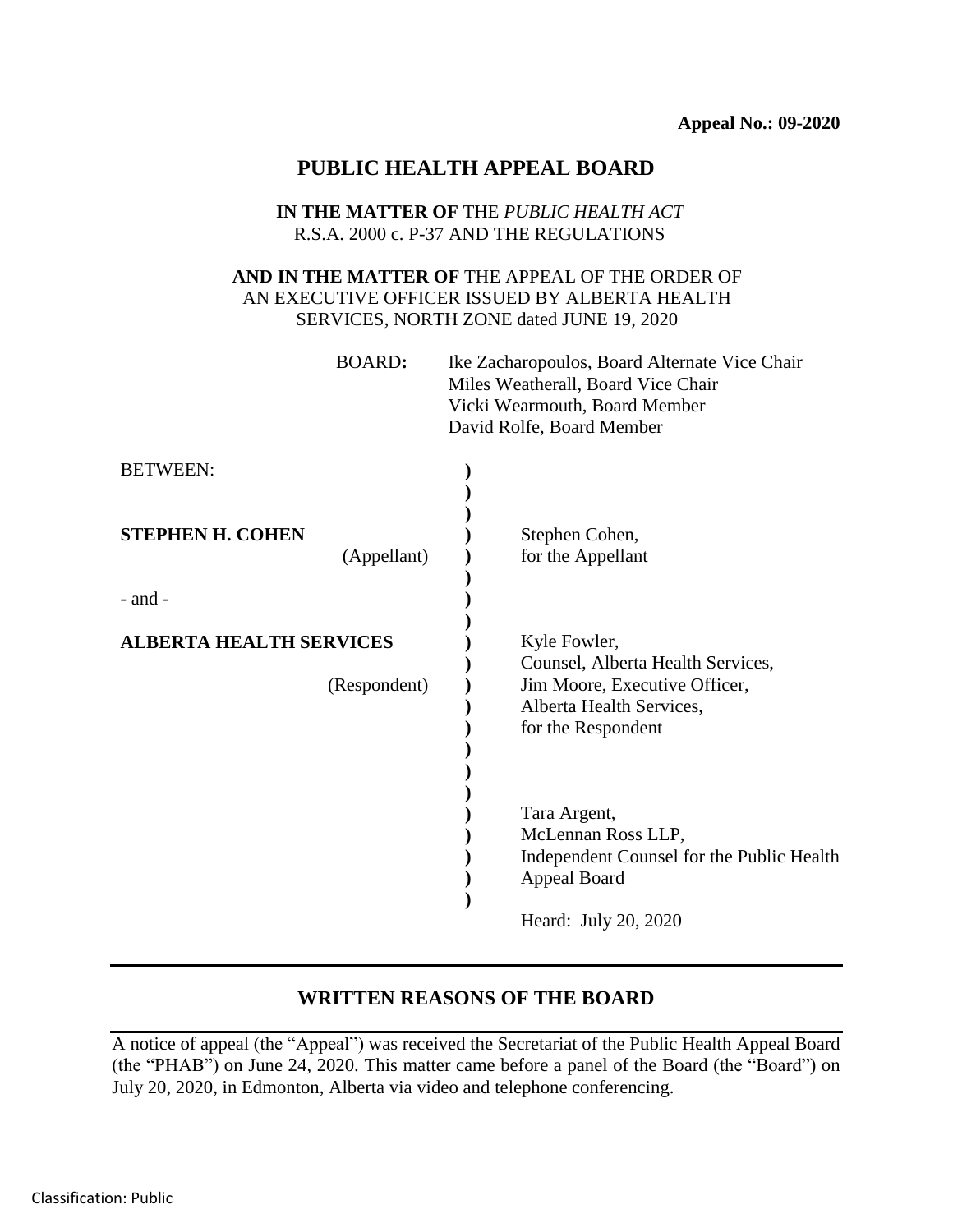# **PUBLIC HEALTH APPEAL BOARD**

### **IN THE MATTER OF** THE *PUBLIC HEALTH ACT* R.S.A. 2000 c. P-37 AND THE REGULATIONS

## **AND IN THE MATTER OF** THE APPEAL OF THE ORDER OF AN EXECUTIVE OFFICER ISSUED BY ALBERTA HEALTH SERVICES, NORTH ZONE dated JUNE 19, 2020

| BOARD: | Ike Zacharopoulos, Board Alternate Vice Chair |
|--------|-----------------------------------------------|
|        | Miles Weatherall, Board Vice Chair            |
|        | Vicki Wearmouth, Board Member                 |
|        | David Rolfe, Board Member                     |
|        |                                               |

| <b>BETWEEN:</b>                                |                                                                                                                                                      |
|------------------------------------------------|------------------------------------------------------------------------------------------------------------------------------------------------------|
| <b>STEPHEN H. COHEN</b><br>(Appellant)         | Stephen Cohen,<br>for the Appellant                                                                                                                  |
| $-$ and $-$                                    |                                                                                                                                                      |
| <b>ALBERTA HEALTH SERVICES</b><br>(Respondent) | Kyle Fowler,<br>Counsel, Alberta Health Services,<br>Jim Moore, Executive Officer,<br>Alberta Health Services,<br>for the Respondent<br>Tara Argent, |
|                                                | McLennan Ross LLP,<br>Independent Counsel for the Public Health<br>Appeal Board<br>Heard: July 20, 2020                                              |

## **WRITTEN REASONS OF THE BOARD**

A notice of appeal (the "Appeal") was received the Secretariat of the Public Health Appeal Board (the "PHAB") on June 24, 2020. This matter came before a panel of the Board (the "Board") on July 20, 2020, in Edmonton, Alberta via video and telephone conferencing.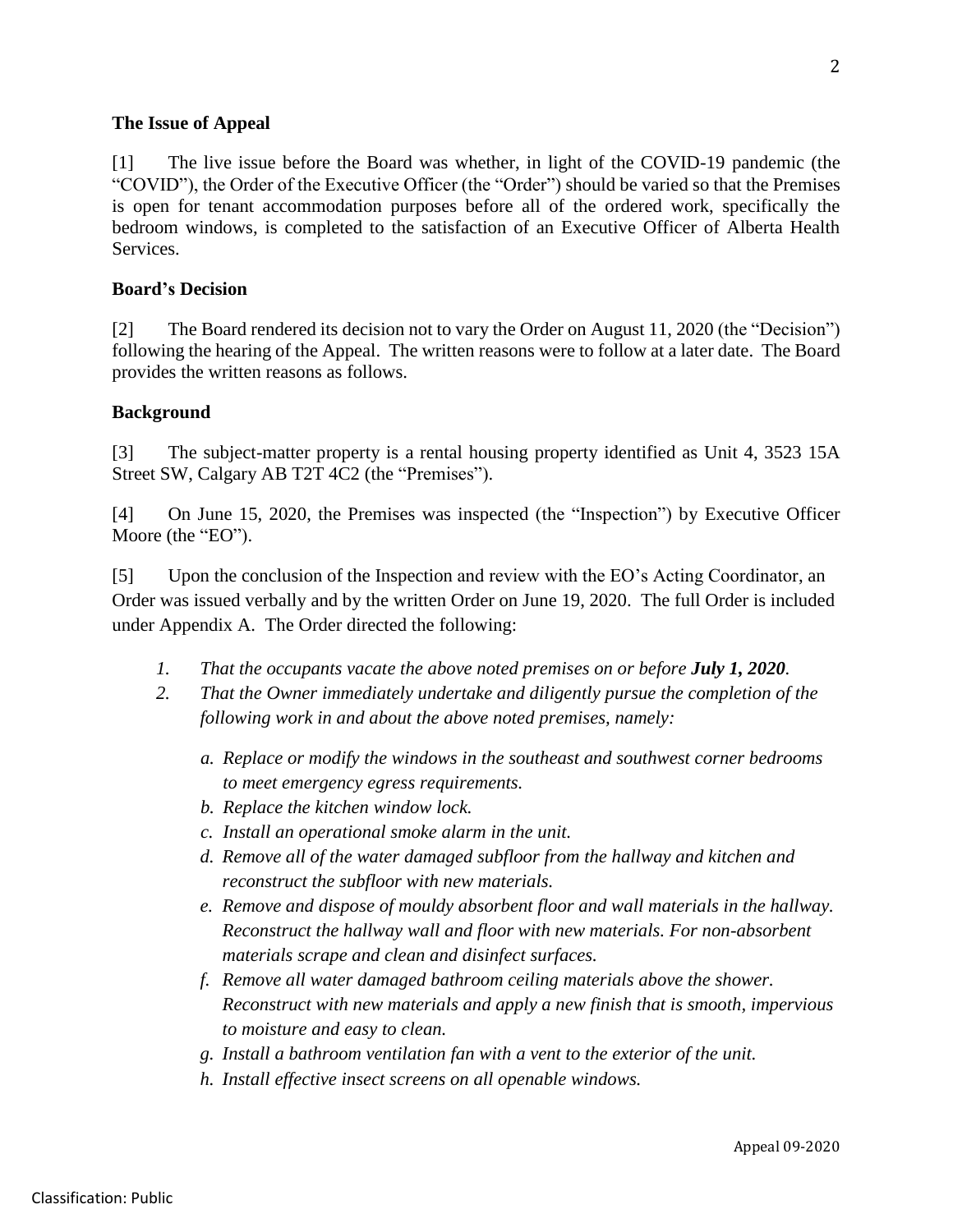### **The Issue of Appeal**

[1] The live issue before the Board was whether, in light of the COVID-19 pandemic (the "COVID"), the Order of the Executive Officer (the "Order") should be varied so that the Premises is open for tenant accommodation purposes before all of the ordered work, specifically the bedroom windows, is completed to the satisfaction of an Executive Officer of Alberta Health Services.

#### **Board's Decision**

[2] The Board rendered its decision not to vary the Order on August 11, 2020 (the "Decision") following the hearing of the Appeal. The written reasons were to follow at a later date. The Board provides the written reasons as follows.

### **Background**

[3] The subject-matter property is a rental housing property identified as Unit 4, 3523 15A Street SW, Calgary AB T2T 4C2 (the "Premises").

[4] On June 15, 2020, the Premises was inspected (the "Inspection") by Executive Officer Moore (the "EO").

[5] Upon the conclusion of the Inspection and review with the EO's Acting Coordinator, an Order was issued verbally and by the written Order on June 19, 2020. The full Order is included under Appendix A. The Order directed the following:

- *1. That the occupants vacate the above noted premises on or before July 1, 2020.*
- *2. That the Owner immediately undertake and diligently pursue the completion of the following work in and about the above noted premises, namely:*
	- *a. Replace or modify the windows in the southeast and southwest corner bedrooms to meet emergency egress requirements.*
	- *b. Replace the kitchen window lock.*
	- *c. Install an operational smoke alarm in the unit.*
	- *d. Remove all of the water damaged subfloor from the hallway and kitchen and reconstruct the subfloor with new materials.*
	- *e. Remove and dispose of mouldy absorbent floor and wall materials in the hallway. Reconstruct the hallway wall and floor with new materials. For non-absorbent materials scrape and clean and disinfect surfaces.*
	- *f. Remove all water damaged bathroom ceiling materials above the shower. Reconstruct with new materials and apply a new finish that is smooth, impervious to moisture and easy to clean.*
	- *g. Install a bathroom ventilation fan with a vent to the exterior of the unit.*
	- *h. Install effective insect screens on all openable windows.*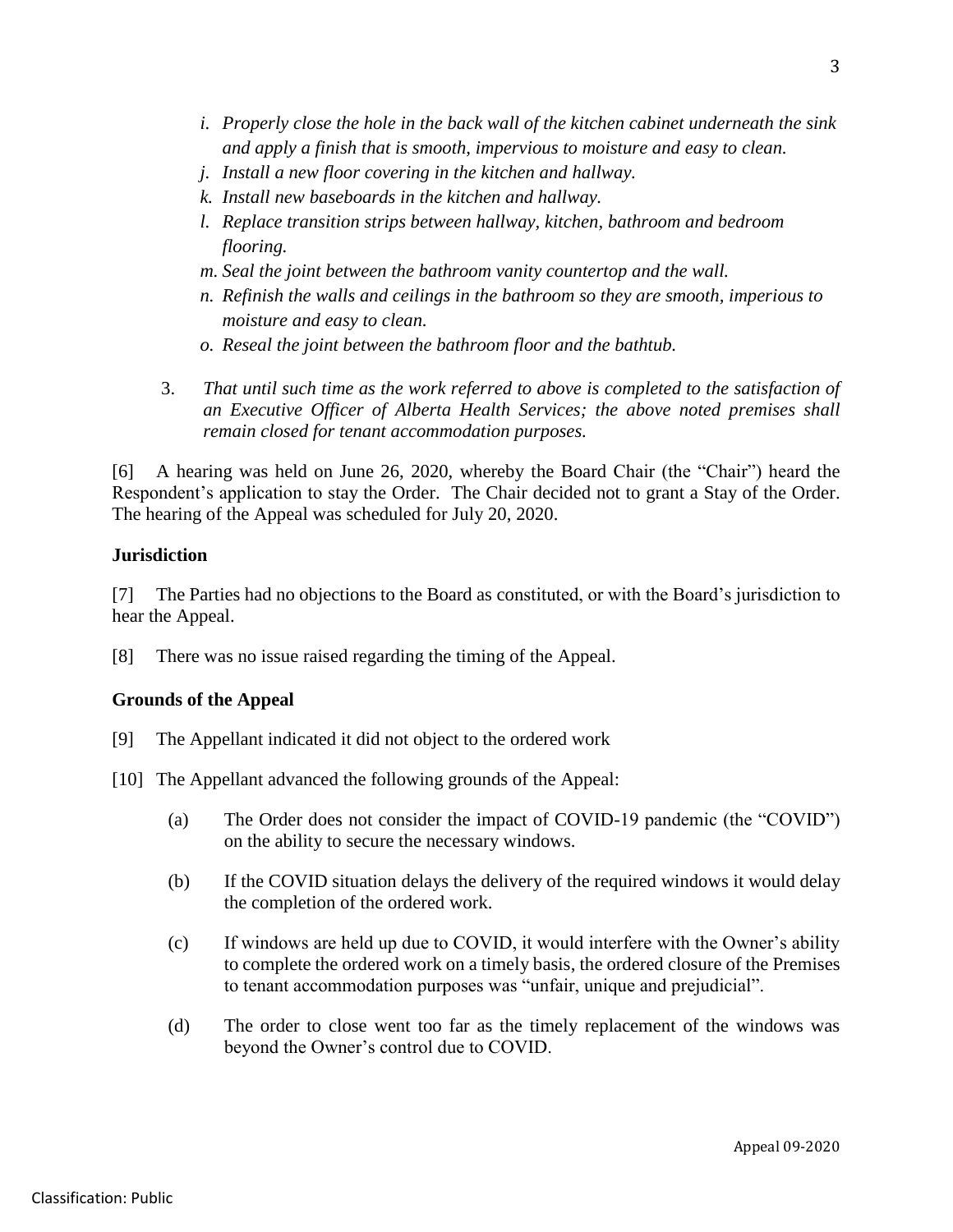- *i. Properly close the hole in the back wall of the kitchen cabinet underneath the sink and apply a finish that is smooth, impervious to moisture and easy to clean.*
- *j. Install a new floor covering in the kitchen and hallway.*
- *k. Install new baseboards in the kitchen and hallway.*
- *l. Replace transition strips between hallway, kitchen, bathroom and bedroom flooring.*
- *m. Seal the joint between the bathroom vanity countertop and the wall.*
- *n. Refinish the walls and ceilings in the bathroom so they are smooth, imperious to moisture and easy to clean.*
- *o. Reseal the joint between the bathroom floor and the bathtub.*
- 3. *That until such time as the work referred to above is completed to the satisfaction of an Executive Officer of Alberta Health Services; the above noted premises shall remain closed for tenant accommodation purposes.*

[6] A hearing was held on June 26, 2020, whereby the Board Chair (the "Chair") heard the Respondent's application to stay the Order. The Chair decided not to grant a Stay of the Order. The hearing of the Appeal was scheduled for July 20, 2020.

## **Jurisdiction**

[7] The Parties had no objections to the Board as constituted, or with the Board's jurisdiction to hear the Appeal.

[8] There was no issue raised regarding the timing of the Appeal.

# **Grounds of the Appeal**

- [9] The Appellant indicated it did not object to the ordered work
- [10] The Appellant advanced the following grounds of the Appeal:
	- (a) The Order does not consider the impact of COVID-19 pandemic (the "COVID") on the ability to secure the necessary windows.
	- (b) If the COVID situation delays the delivery of the required windows it would delay the completion of the ordered work.
	- (c) If windows are held up due to COVID, it would interfere with the Owner's ability to complete the ordered work on a timely basis, the ordered closure of the Premises to tenant accommodation purposes was "unfair, unique and prejudicial".
	- (d) The order to close went too far as the timely replacement of the windows was beyond the Owner's control due to COVID.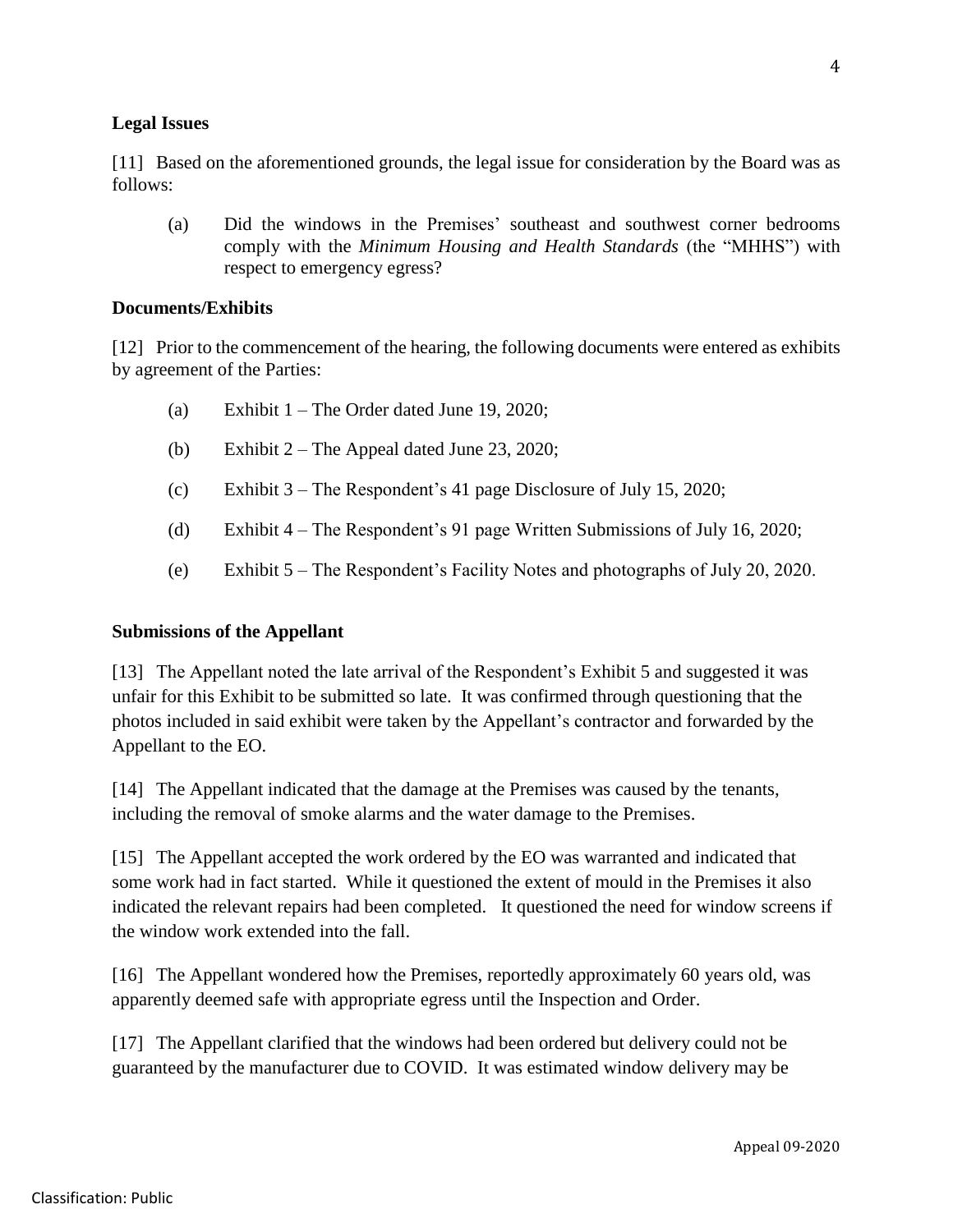### **Legal Issues**

[11] Based on the aforementioned grounds, the legal issue for consideration by the Board was as follows:

(a) Did the windows in the Premises' southeast and southwest corner bedrooms comply with the *Minimum Housing and Health Standards* (the "MHHS") with respect to emergency egress?

### **Documents/Exhibits**

[12] Prior to the commencement of the hearing, the following documents were entered as exhibits by agreement of the Parties:

- (a) Exhibit  $1 -$  The Order dated June 19, 2020;
- (b) Exhibit 2 The Appeal dated June 23, 2020;
- (c) Exhibit 3 The Respondent's 41 page Disclosure of July 15, 2020;
- (d) Exhibit 4 The Respondent's 91 page Written Submissions of July 16, 2020;
- (e) Exhibit 5 The Respondent's Facility Notes and photographs of July 20, 2020.

### **Submissions of the Appellant**

[13] The Appellant noted the late arrival of the Respondent's Exhibit 5 and suggested it was unfair for this Exhibit to be submitted so late. It was confirmed through questioning that the photos included in said exhibit were taken by the Appellant's contractor and forwarded by the Appellant to the EO.

[14] The Appellant indicated that the damage at the Premises was caused by the tenants, including the removal of smoke alarms and the water damage to the Premises.

[15] The Appellant accepted the work ordered by the EO was warranted and indicated that some work had in fact started. While it questioned the extent of mould in the Premises it also indicated the relevant repairs had been completed. It questioned the need for window screens if the window work extended into the fall.

[16] The Appellant wondered how the Premises, reportedly approximately 60 years old, was apparently deemed safe with appropriate egress until the Inspection and Order.

[17] The Appellant clarified that the windows had been ordered but delivery could not be guaranteed by the manufacturer due to COVID. It was estimated window delivery may be

Appeal 09-2020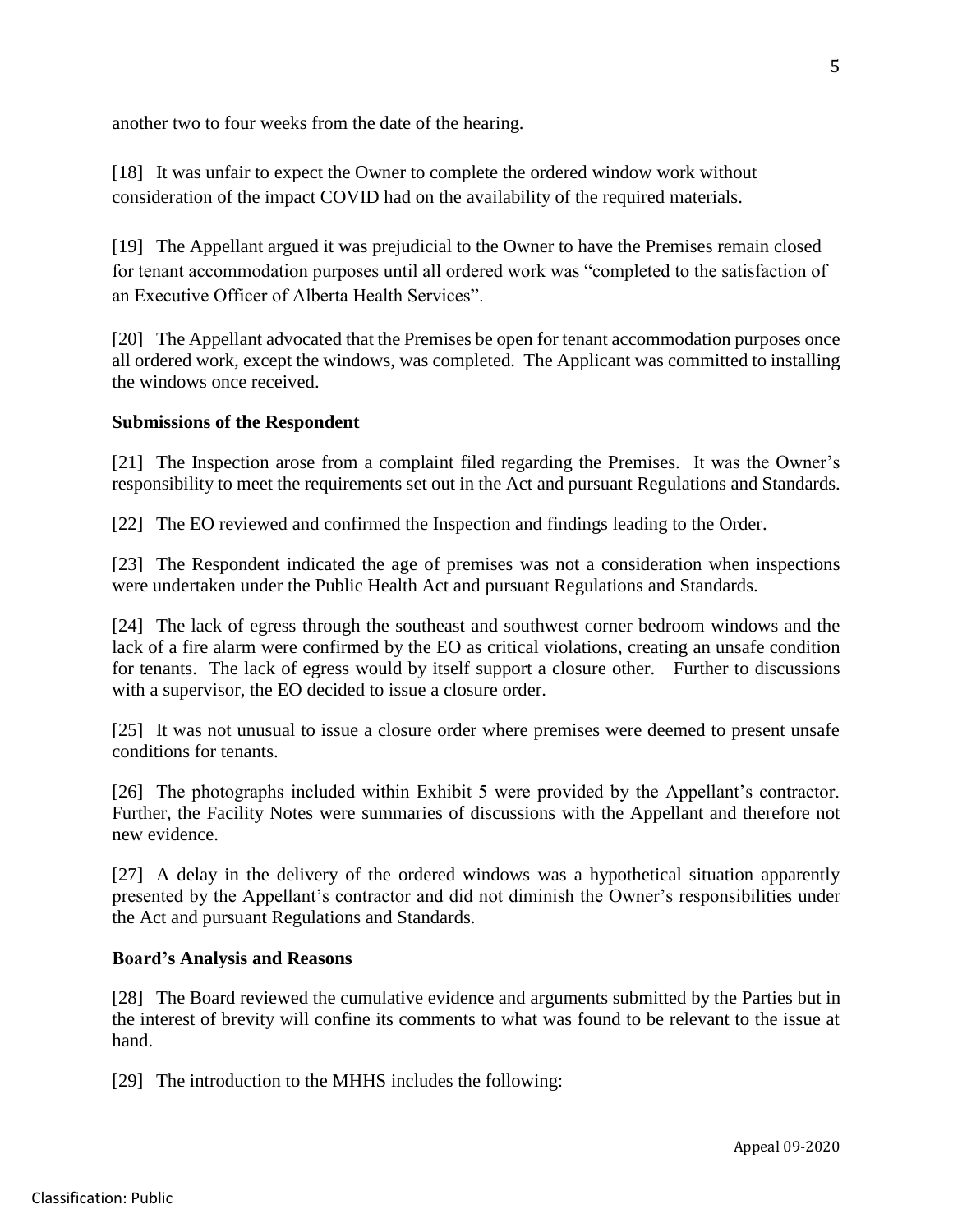another two to four weeks from the date of the hearing.

[18] It was unfair to expect the Owner to complete the ordered window work without consideration of the impact COVID had on the availability of the required materials.

[19] The Appellant argued it was prejudicial to the Owner to have the Premises remain closed for tenant accommodation purposes until all ordered work was "completed to the satisfaction of an Executive Officer of Alberta Health Services".

[20] The Appellant advocated that the Premises be open for tenant accommodation purposes once all ordered work, except the windows, was completed. The Applicant was committed to installing the windows once received.

### **Submissions of the Respondent**

[21] The Inspection arose from a complaint filed regarding the Premises. It was the Owner's responsibility to meet the requirements set out in the Act and pursuant Regulations and Standards.

[22] The EO reviewed and confirmed the Inspection and findings leading to the Order.

[23] The Respondent indicated the age of premises was not a consideration when inspections were undertaken under the Public Health Act and pursuant Regulations and Standards.

[24] The lack of egress through the southeast and southwest corner bedroom windows and the lack of a fire alarm were confirmed by the EO as critical violations, creating an unsafe condition for tenants. The lack of egress would by itself support a closure other. Further to discussions with a supervisor, the EO decided to issue a closure order.

[25] It was not unusual to issue a closure order where premises were deemed to present unsafe conditions for tenants.

[26] The photographs included within Exhibit 5 were provided by the Appellant's contractor. Further, the Facility Notes were summaries of discussions with the Appellant and therefore not new evidence.

[27] A delay in the delivery of the ordered windows was a hypothetical situation apparently presented by the Appellant's contractor and did not diminish the Owner's responsibilities under the Act and pursuant Regulations and Standards.

#### **Board's Analysis and Reasons**

[28] The Board reviewed the cumulative evidence and arguments submitted by the Parties but in the interest of brevity will confine its comments to what was found to be relevant to the issue at hand.

[29] The introduction to the MHHS includes the following: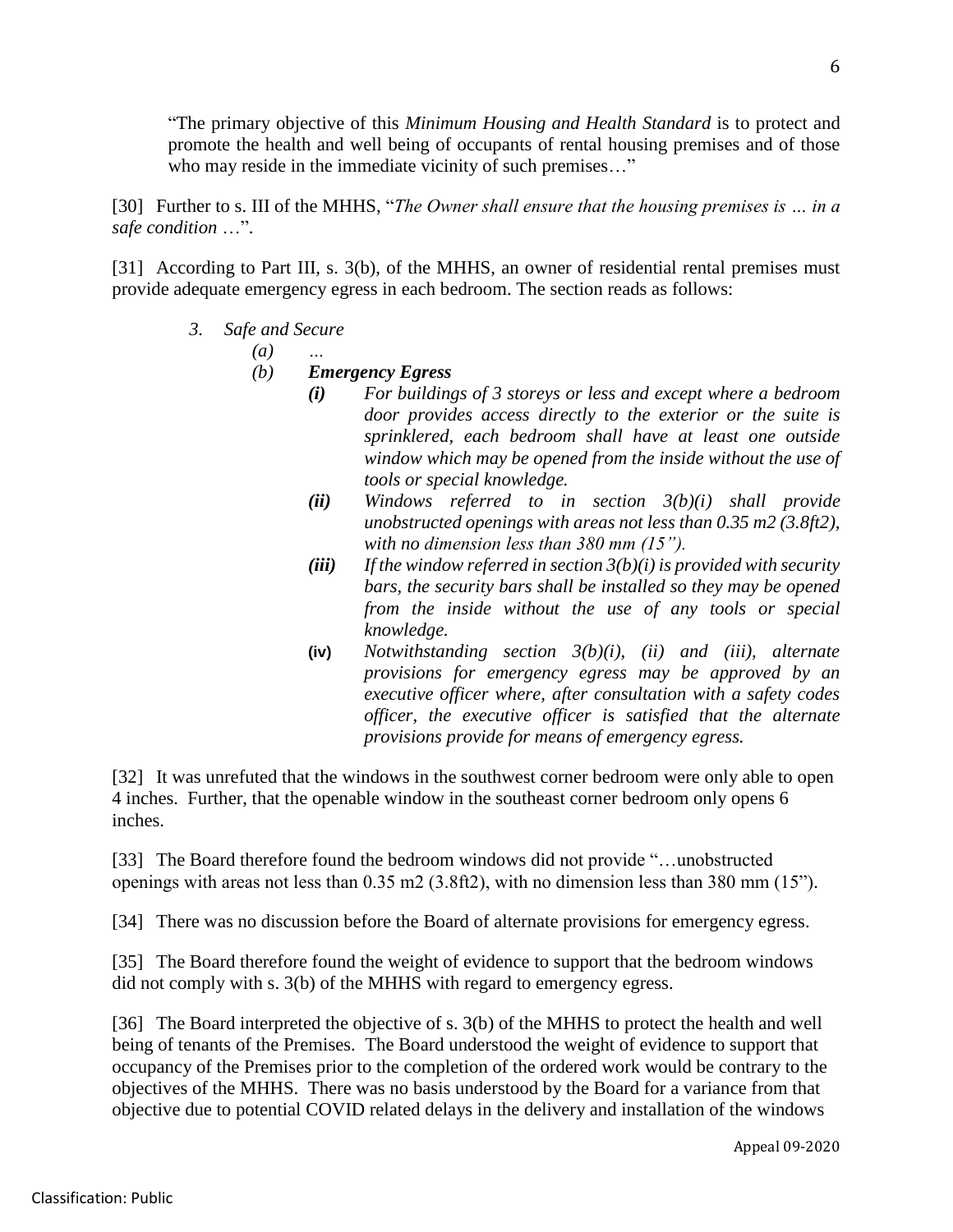"The primary objective of this *Minimum Housing and Health Standard* is to protect and promote the health and well being of occupants of rental housing premises and of those who may reside in the immediate vicinity of such premises..."

[30] Further to s. III of the MHHS, "*The Owner shall ensure that the housing premises is … in a safe condition* …".

[31] According to Part III, s. 3(b), of the MHHS, an owner of residential rental premises must provide adequate emergency egress in each bedroom. The section reads as follows:

*3. Safe and Secure*

*(a) …*

- *(b) Emergency Egress*
	- *(i) For buildings of 3 storeys or less and except where a bedroom door provides access directly to the exterior or the suite is sprinklered, each bedroom shall have at least one outside window which may be opened from the inside without the use of tools or special knowledge.*
	- *(ii) Windows referred to in section 3(b)(i) shall provide unobstructed openings with areas not less than 0.35 m2 (3.8ft2), with no dimension less than 380 mm (15").*
	- *(iii) If the window referred in section 3(b)(i) is provided with security bars, the security bars shall be installed so they may be opened from the inside without the use of any tools or special knowledge.*
	- **(iv)** *Notwithstanding section 3(b)(i), (ii) and (iii), alternate provisions for emergency egress may be approved by an executive officer where, after consultation with a safety codes officer, the executive officer is satisfied that the alternate provisions provide for means of emergency egress.*

[32] It was unrefuted that the windows in the southwest corner bedroom were only able to open 4 inches. Further, that the openable window in the southeast corner bedroom only opens 6 inches.

[33] The Board therefore found the bedroom windows did not provide "…unobstructed openings with areas not less than 0.35 m2 (3.8ft2), with no dimension less than 380 mm (15").

[34] There was no discussion before the Board of alternate provisions for emergency egress.

[35] The Board therefore found the weight of evidence to support that the bedroom windows did not comply with s. 3(b) of the MHHS with regard to emergency egress.

[36] The Board interpreted the objective of s. 3(b) of the MHHS to protect the health and well being of tenants of the Premises. The Board understood the weight of evidence to support that occupancy of the Premises prior to the completion of the ordered work would be contrary to the objectives of the MHHS. There was no basis understood by the Board for a variance from that objective due to potential COVID related delays in the delivery and installation of the windows